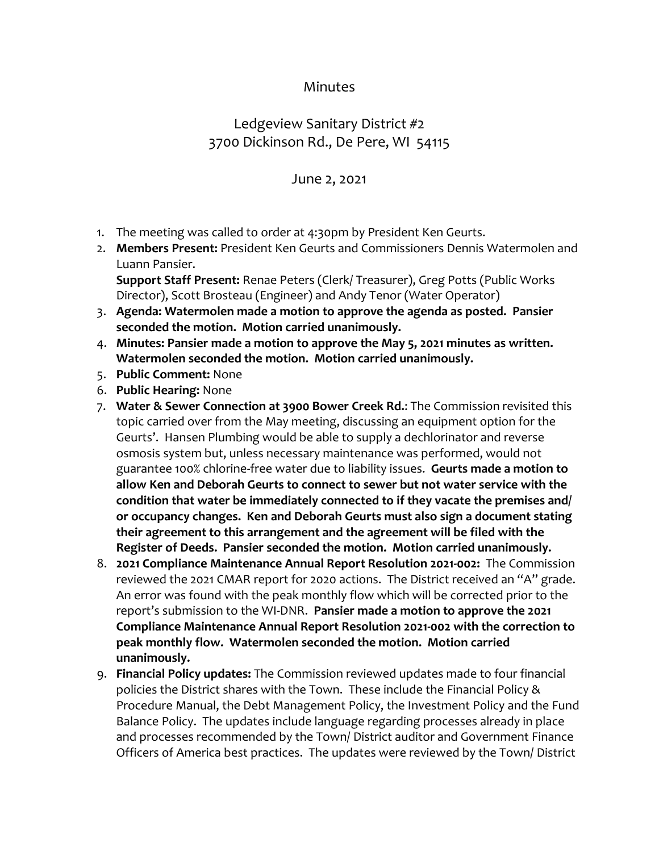## Minutes

## Ledgeview Sanitary District #2 3700 Dickinson Rd., De Pere, WI 54115

## June 2, 2021

- 1. The meeting was called to order at 4:30pm by President Ken Geurts.
- 2. **Members Present:** President Ken Geurts and Commissioners Dennis Watermolen and Luann Pansier. **Support Staff Present:** Renae Peters (Clerk/ Treasurer), Greg Potts (Public Works

Director), Scott Brosteau (Engineer) and Andy Tenor (Water Operator)

- 3. **Agenda: Watermolen made a motion to approve the agenda as posted. Pansier seconded the motion. Motion carried unanimously.**
- 4. **Minutes: Pansier made a motion to approve the May 5, 2021 minutes as written. Watermolen seconded the motion. Motion carried unanimously.**
- 5. **Public Comment:** None
- 6. **Public Hearing:** None
- 7. **Water & Sewer Connection at 3900 Bower Creek Rd.**: The Commission revisited this topic carried over from the May meeting, discussing an equipment option for the Geurts'. Hansen Plumbing would be able to supply a dechlorinator and reverse osmosis system but, unless necessary maintenance was performed, would not guarantee 100% chlorine-free water due to liability issues. **Geurts made a motion to allow Ken and Deborah Geurts to connect to sewer but not water service with the condition that water be immediately connected to if they vacate the premises and/ or occupancy changes. Ken and Deborah Geurts must also sign a document stating their agreement to this arrangement and the agreement will be filed with the Register of Deeds. Pansier seconded the motion. Motion carried unanimously.**
- 8. **2021 Compliance Maintenance Annual Report Resolution 2021-002:** The Commission reviewed the 2021 CMAR report for 2020 actions. The District received an "A" grade. An error was found with the peak monthly flow which will be corrected prior to the report's submission to the WI-DNR. **Pansier made a motion to approve the 2021 Compliance Maintenance Annual Report Resolution 2021-002 with the correction to peak monthly flow. Watermolen seconded the motion. Motion carried unanimously.**
- 9. **Financial Policy updates:** The Commission reviewed updates made to four financial policies the District shares with the Town. These include the Financial Policy & Procedure Manual, the Debt Management Policy, the Investment Policy and the Fund Balance Policy. The updates include language regarding processes already in place and processes recommended by the Town/ District auditor and Government Finance Officers of America best practices. The updates were reviewed by the Town/ District